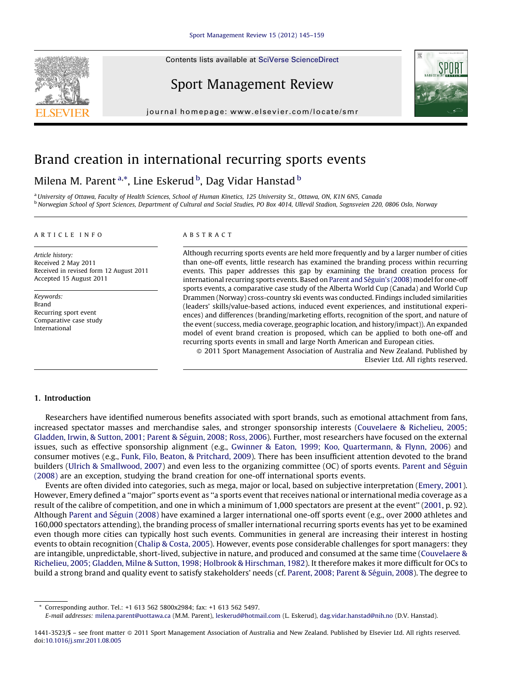Contents lists available at [SciVerse ScienceDirect](http://www.sciencedirect.com/science/journal/14413523)







journal homepage: www.elsevier.com/locate/smr

## Brand creation in international recurring sports events

### Milena M. Parent <sup>a,\*</sup>, Line Eskerud <sup>b</sup>, Dag Vidar Hanstad <sup>b</sup>

<sup>a</sup> University of Ottawa, Faculty of Health Sciences, School of Human Kinetics, 125 University St., Ottawa, ON, K1N 6N5, Canada <sup>b</sup> Norwegian School of Sport Sciences, Department of Cultural and Social Studies, PO Box 4014, Ulleval Stadion, Sognsveien 220, 0806 Oslo, Norway

#### ARTICLE INFO

Article history: Received 2 May 2011 Received in revised form 12 August 2011 Accepted 15 August 2011

Keywords: Brand Recurring sport event Comparative case study International

#### ABSTRACT

Although recurring sports events are held more frequently and by a larger number of cities than one-off events, little research has examined the branding process within recurring events. This paper addresses this gap by examining the brand creation process for international recurring sports events. Based on Parent and Séguin's (2008) model for one-off sports events, a comparative case study of the Alberta World Cup (Canada) and World Cup Drammen (Norway) cross-country ski events was conducted. Findings included similarities (leaders' skills/value-based actions, induced event experiences, and institutional experiences) and differences (branding/marketing efforts, recognition of the sport, and nature of the event (success, media coverage, geographic location, and history/impact)). An expanded model of event brand creation is proposed, which can be applied to both one-off and recurring sports events in small and large North American and European cities.

- 2011 Sport Management Association of Australia and New Zealand. Published by Elsevier Ltd. All rights reserved.

#### 1. Introduction

Researchers have identified numerous benefits associated with sport brands, such as emotional attachment from fans, increased spectator masses and merchandise sales, and stronger sponsorship interests ([Couvelaere & Richelieu, 2005;](#page--1-0) Gladden, Irwin, & Sutton, 2001; Parent & Séguin, 2008; Ross, 2006). Further, most researchers have focused on the external issues, such as effective sponsorship alignment (e.g., [Gwinner & Eaton, 1999; Koo, Quartermann, & Flynn, 2006](#page--1-0)) and consumer motives (e.g., [Funk, Filo, Beaton, & Pritchard, 2009](#page--1-0)). There has been insufficient attention devoted to the brand builders ([Ulrich & Smallwood, 2007\)](#page--1-0) and even less to the organizing committee (OC) of sports events. Parent and Séguin [\(2008\)](#page--1-0) are an exception, studying the brand creation for one-off international sports events.

Events are often divided into categories, such as mega, major or local, based on subjective interpretation [\(Emery, 2001](#page--1-0)). However, Emery defined a ''major'' sports event as ''a sports event that receives national or international media coverage as a result of the calibre of competition, and one in which a minimum of 1,000 spectators are present at the event'' ([2001,](#page--1-0) p. 92). Although Parent and Séguin (2008) have examined a larger international one-off sports event (e.g., over 2000 athletes and 160,000 spectators attending), the branding process of smaller international recurring sports events has yet to be examined even though more cities can typically host such events. Communities in general are increasing their interest in hosting events to obtain recognition [\(Chalip & Costa, 2005\)](#page--1-0). However, events pose considerable challenges for sport managers: they are intangible, unpredictable, short-lived, subjective in nature, and produced and consumed at the same time [\(Couvelaere &](#page--1-0) [Richelieu, 2005; Gladden, Milne & Sutton, 1998; Holbrook & Hirschman, 1982](#page--1-0)). It therefore makes it more difficult for OCs to build a strong brand and quality event to satisfy stakeholders' needs (cf. Parent, 2008; Parent & Séguin, 2008). The degree to

<sup>\*</sup> Corresponding author. Tel.: +1 613 562 5800x2984; fax: +1 613 562 5497.

E-mail addresses: [milena.parent@uottawa.ca](mailto:milena.parent@uottawa.ca) (M.M. Parent), [leskerud@hotmail.com](mailto:leskerud@hotmail.com) (L. Eskerud), [dag.vidar.hanstad@nih.no](mailto:dag.vidar.hanstad@nih.no) (D.V. Hanstad).

<sup>1441-3523/\$ –</sup> see front matter © 2011 Sport Management Association of Australia and New Zealand. Published by Elsevier Ltd. All rights reserved. doi:[10.1016/j.smr.2011.08.005](http://dx.doi.org/10.1016/j.smr.2011.08.005)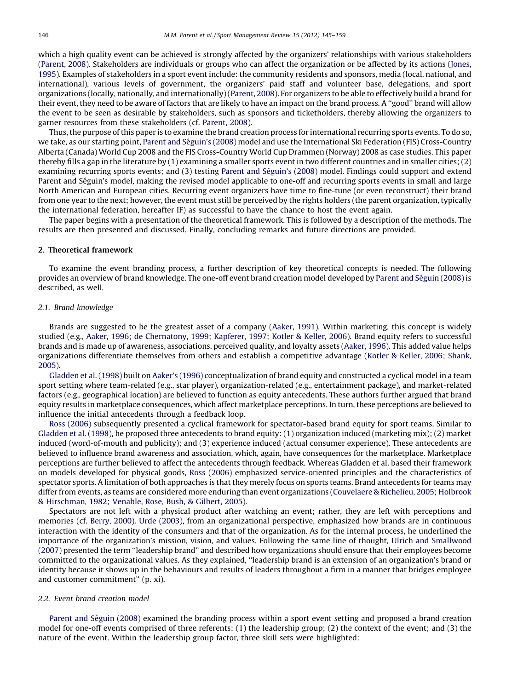which a high quality event can be achieved is strongly affected by the organizers' relationships with various stakeholders [\(Parent, 2008](#page--1-0)). Stakeholders are individuals or groups who can affect the organization or be affected by its actions [\(Jones,](#page--1-0) [1995](#page--1-0)). Examples of stakeholders in a sport event include: the community residents and sponsors, media (local, national, and international), various levels of government, the organizers' paid staff and volunteer base, delegations, and sport organizations (locally, nationally, and internationally) [\(Parent, 2008\)](#page--1-0). For organizers to be able to effectively build a brand for their event, they need to be aware of factors that are likely to have an impact on the brand process. A ''good'' brand will allow the event to be seen as desirable by stakeholders, such as sponsors and ticketholders, thereby allowing the organizers to garner resources from these stakeholders (cf. [Parent, 2008\)](#page--1-0).

Thus, the purpose of this paper is to examine the brand creation process for international recurring sports events. To do so, we take, as our starting point, Parent and Séguin's (2008) model and use the International Ski Federation (FIS) Cross-Country Alberta (Canada) World Cup 2008 and the FIS Cross-Country World Cup Drammen (Norway) 2008 as case studies. This paper thereby fills a gap in the literature by (1) examining a smaller sports event in two different countries and in smaller cities; (2) examining recurring sports events; and (3) testing Parent and Séguin's (2008) model. Findings could support and extend Parent and Séguin's model, making the revised model applicable to one-off and recurring sports events in small and large North American and European cities. Recurring event organizers have time to fine-tune (or even reconstruct) their brand from one year to the next; however, the event must still be perceived by the rights holders (the parent organization, typically the international federation, hereafter IF) as successful to have the chance to host the event again.

The paper begins with a presentation of the theoretical framework. This is followed by a description of the methods. The results are then presented and discussed. Finally, concluding remarks and future directions are provided.

#### 2. Theoretical framework

To examine the event branding process, a further description of key theoretical concepts is needed. The following provides an overview of brand knowledge. The one-off event brand creation model developed by Parent and Séguin (2008) is described, as well.

#### 2.1. Brand knowledge

Brands are suggested to be the greatest asset of a company ([Aaker, 1991](#page--1-0)). Within marketing, this concept is widely studied (e.g., [Aaker, 1996; de Chernatony, 1999; Kapferer, 1997; Kotler & Keller, 2006](#page--1-0)). Brand equity refers to successful brands and is made up of awareness, associations, perceived quality, and loyalty assets [\(Aaker, 1996](#page--1-0)). This added value helps organizations differentiate themselves from others and establish a competitive advantage [\(Kotler & Keller, 2006; Shank,](#page--1-0) [2005](#page--1-0)).

[Gladden et al. \(1998\)](#page--1-0) built on [Aaker's \(1996\)](#page--1-0) conceptualization of brand equity and constructed a cyclical model in a team sport setting where team-related (e.g., star player), organization-related (e.g., entertainment package), and market-related factors (e.g., geographical location) are believed to function as equity antecedents. These authors further argued that brand equity results in marketplace consequences, which affect marketplace perceptions. In turn, these perceptions are believed to influence the initial antecedents through a feedback loop.

[Ross \(2006\)](#page--1-0) subsequently presented a cyclical framework for spectator-based brand equity for sport teams. Similar to [Gladden et al. \(1998\)](#page--1-0), he proposed three antecedents to brand equity: (1) organization induced (marketing mix); (2) market induced (word-of-mouth and publicity); and (3) experience induced (actual consumer experience). These antecedents are believed to influence brand awareness and association, which, again, have consequences for the marketplace. Marketplace perceptions are further believed to affect the antecedents through feedback. Whereas Gladden et al. based their framework on models developed for physical goods, [Ross \(2006\)](#page--1-0) emphasized service-oriented principles and the characteristics of spectator sports. A limitation of both approaches is that they merely focus on sports teams. Brand antecedents for teams may differ from events, as teams are considered more enduring than event organizations ([Couvelaere & Richelieu, 2005; Holbrook](#page--1-0) [& Hirschman, 1982; Venable, Rose, Bush, & Gilbert, 2005](#page--1-0)).

Spectators are not left with a physical product after watching an event; rather, they are left with perceptions and memories (cf. [Berry, 2000\)](#page--1-0). [Urde \(2003\)](#page--1-0), from an organizational perspective, emphasized how brands are in continuous interaction with the identity of the consumers and that of the organization. As for the internal process, he underlined the importance of the organization's mission, vision, and values. Following the same line of thought, [Ulrich and Smallwood](#page--1-0) [\(2007\)](#page--1-0) presented the term ''leadership brand'' and described how organizations should ensure that their employees become committed to the organizational values. As they explained, ''leadership brand is an extension of an organization's brand or identity because it shows up in the behaviours and results of leaders throughout a firm in a manner that bridges employee and customer commitment'' (p. xi).

#### 2.2. Event brand creation model

Parent and Séguin (2008) examined the branding process within a sport event setting and proposed a brand creation model for one-off events comprised of three referents: (1) the leadership group; (2) the context of the event; and (3) the nature of the event. Within the leadership group factor, three skill sets were highlighted: